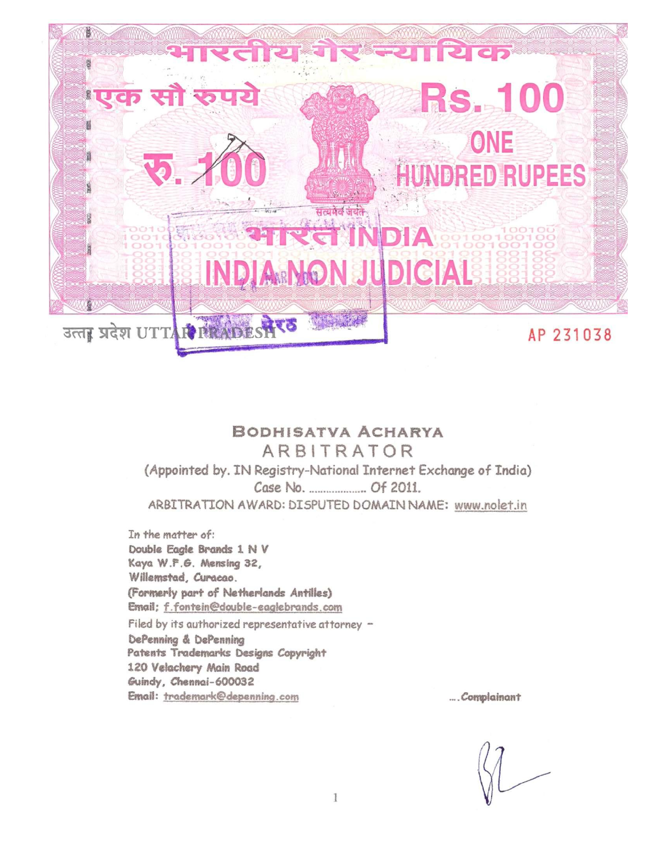

#### BODHISATVA ACHARYA ARBITRATOR

(Appointed by. IN Registry-National Internet Exchange of India) ARBITRATION AWARD: DISPUTED DOMAIN NAME: www.nolet.in

In the matter of: Double Eagle Brands 1 N V Kaya W.F.G. Mensing 32, Willemstad, Curacao. (Formerly part of Netherlands Antilles) Email; f.fontein@double-eaglebrands.com Filed by its authorized representative attorney -DePenning & DePenning Patents Trademarks Designs Copyright 120 Velachery Main Road Guindy, Chennai-600032 Email: trademark@depenning.com

... Complainant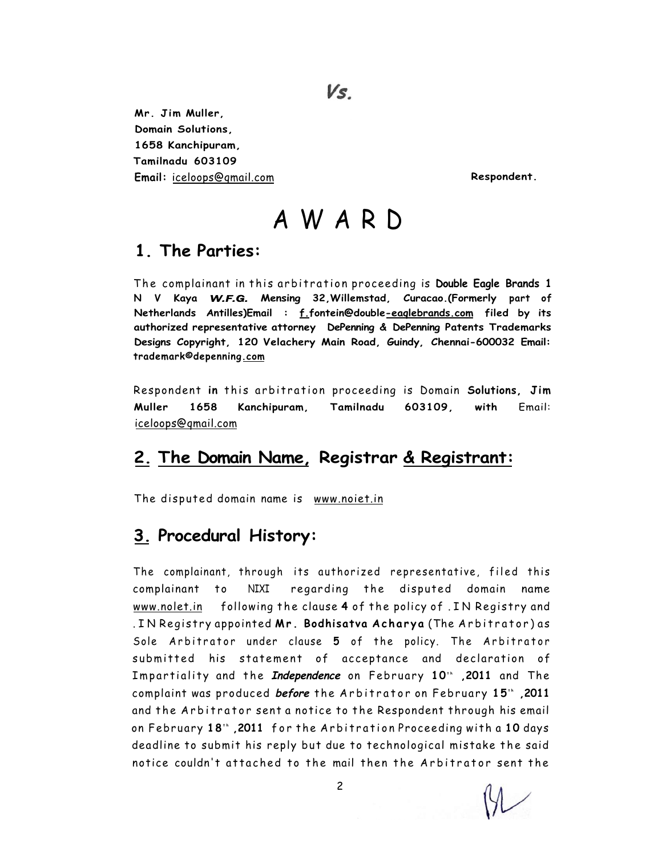Vs.

**Mr. Jim Muller, Domain Solutions, 1658 Kanchipuram, Tamilnadu 603109**  Email: [iceloops@qmail.com](mailto:iceloops@qmail.com) **Respondent. Respondent.** 

# AWAR D

#### **1. The Parties:**

The complainant in this arbitration proceeding is **Double Eagle Brands 1 N V Kaya** *W.F.G.* **Mensing 32,Willemstad, Curacao.(Formerly part of Netherlands Antilles)Email : f.fontein@double-eaqlebrands.com filed by its authorized representative attorney DePenning & DePenning Patents Trademarks Designs Copyright, 120 Velachery Main Road, Guindy, Chennai-600032 Email: trademark©depenning.com** 

Respondent in this arbitration proceeding is Domain Solutions, Jim **Muller 1658 Kanchipuram, Tamilnadu 603109, with** Email: [iceloops@qmail.com](mailto:iceloops@qmail.com) 

## **2. The Domain Name, Registrar & Registrant:**

The disputed domain name is [www.noiet.in](http://www.noiet.in)

## **3. Procedural History:**

The complainant, through its authorized representative, filed this complainant to NIXI regarding the disputed domain name [www.nolet.in](http://www.nolet.in) following the clause 4 of the policy of . IN Registry and . I N Registr y appointed **Mr . Bodhisatva Achary a** (The Arbitrator ) a s Sole Arbitrator under clause 5 of the policy. The Arbitrator submitted his statement of acceptance and declaration of Impartiality and the *Independence* on February 10" ,2011 and The  **complaint was produced** *before* **the Arbitrator on February 15<sup>th</sup> ,2011** and the Arbitrator sent a notice to the Respondent through his email on February **18'` ,2011** for the Arbitration Proceeding with a **10** days deadline to submit his reply but due to technological mistake the said notice couldn't attached to the mail then the Arbitrator sent the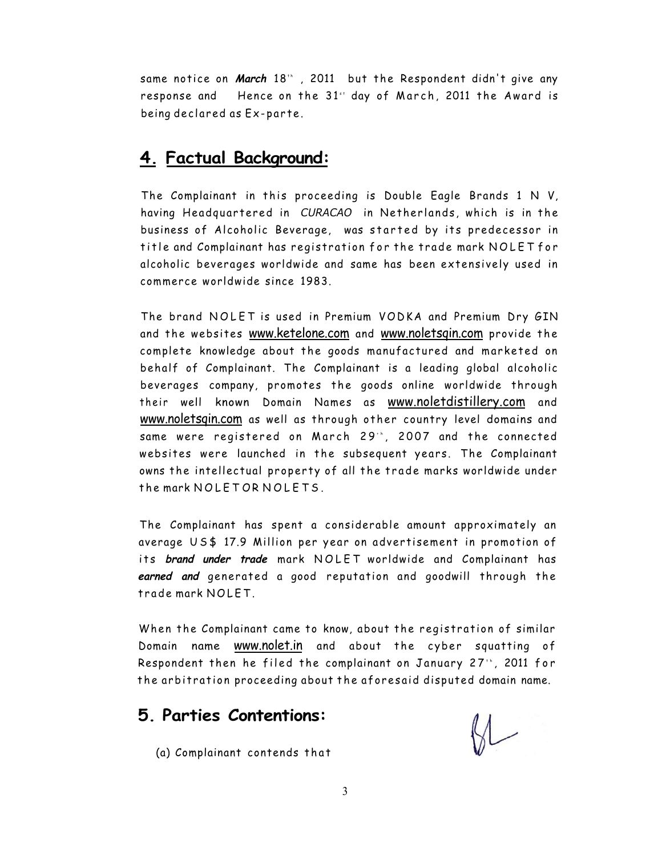same notice on *March* 18" , 2011 but the Respondent didn't give any response and Hence on the 31" day of March, 2011 the Award is being declared as Ex-parte .

#### **4. Factual Background:**

The Complainant in this proceeding is Double Eagle Brands 1 N V, having Headquartered in CURACAO in Netherlands, which is in the business of Alcoholic Beverage, was started by its predecessor in title and Complainant has registration for the trade mark NOLET for alcoholic beverages worldwide and same has been extensively used in commerce worldwide since 1983.

The brand NOLET is used in Premium VODKA and Premium Dry GIN and the websites [www.ketelone.com](http://www.ketelone.com) and www.noletsgin.com provide the complete knowledge about the goods manufactured and marketed on behalf of Complainant. The Complainant is a leading global alcoholic beverages company, promotes the goods online worldwide through their well known Domain Names as [www.noletdistillery.com](http://www.noletdistillery.com) and [www.noletsqin.com](http://www.noletsqin.com) as well as through other country level domains and same were registered on March 29\*", 2007 and the connected websites were launched in the subsequent years. The Complainant owns the intellectual property of all the trade marks worldwide under the mark NOLETOR NOLETS.

The Complainant has spent a considerable amount approximately an average US\$ 17.9 Million per year on advertisement in promotion of its brand under trade mark NOLET worldwide and Complainant has earned and generated a good reputation and goodwill through the trade mark NOLET.

When the Complainant came to know, about the registration of similar Domain name [www.nolet.in](http://www.nolet.in) and about the cyber squatting of Respondent then he filed the complainant on January 27", 2011 for the arbitration proceeding about the aforesaid disputed domain name.

#### **5. Parties Contentions:**

(a) Complainant contends that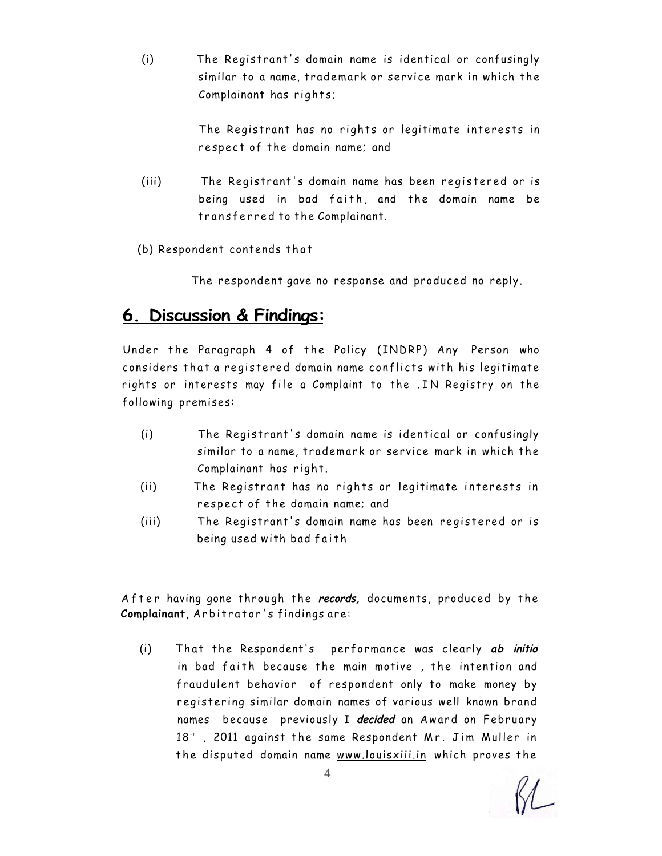(i) The Registrant' s domain name is identical or confusingly similar to a name, trademark or service mark in which the Complainant has rights;

> The Registrant has no rights or legitimate interests in respect of the domain name; and

- (iii) The Registrant's domain name has been registered or is being used in bad faith, and the domain name be transferred to the Complainant.
- (b) Respondent contends that

The respondent gave no response and produced no reply.

## **6. Discussion & Findings:**

Under the Paragraph 4 of the Policy (INDRP) Any Person who considers that a registered domain name conflicts with his legitimate rights or interests may file a Complaint to the . IN Registry on the following premises:

- (i) The Registrant's domain name is identical or confusingly similar to a name, trademark or service mark in which the Complainant has right.
- (ii) The Registrant has no rights or legitimate interests in respect of the domain name; and
- (iii) The Registrant's domain name has been registered or is being used with bad faith

After having gone through the *records*, documents, produced by the **Complainant,** Arbitrator' s findings are:

(i) That the Respondent's performance was clearly ab initio in bad faith because the main motive, the intention and fraudulent behavior of respondent only to make money by registering similar domain names of various well known brand names because previously I decided an Award on February 18<sup>+</sup> , 2011 against the same Respondent Mr. Jim Muller in the disputed domain name [www.louisxiii.in w](http://www.louisxiii.in)hich proves the